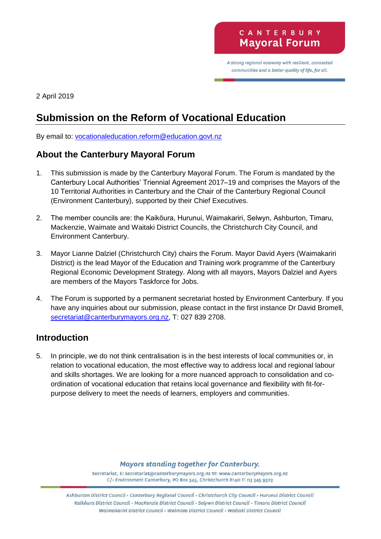A strong regional economy with resilient, connected communities and a better quality of life, for all.

2 April 2019

# **Submission on the Reform of Vocational Education**

By email to: [vocationaleducation.reform@education.govt.nz](mailto:vocationaleducation.reform@education.govt.nz)

## **About the Canterbury Mayoral Forum**

- 1. This submission is made by the Canterbury Mayoral Forum. The Forum is mandated by the Canterbury Local Authorities' Triennial Agreement 2017–19 and comprises the Mayors of the 10 Territorial Authorities in Canterbury and the Chair of the Canterbury Regional Council (Environment Canterbury), supported by their Chief Executives.
- 2. The member councils are: the Kaikōura, Hurunui, Waimakariri, Selwyn, Ashburton, Timaru, Mackenzie, Waimate and Waitaki District Councils, the Christchurch City Council, and Environment Canterbury.
- 3. Mayor Lianne Dalziel (Christchurch City) chairs the Forum. Mayor David Ayers (Waimakariri District) is the lead Mayor of the Education and Training work programme of the Canterbury Regional Economic Development Strategy. Along with all mayors, Mayors Dalziel and Ayers are members of the Mayors Taskforce for Jobs.
- 4. The Forum is supported by a permanent secretariat hosted by Environment Canterbury. If you have any inquiries about our submission, please contact in the first instance Dr David Bromell, [secretariat@canterburymayors.org.nz,](mailto:secretariat@canterburymayors.org.nz) T: 027 839 2708.

#### **Introduction**

5. In principle, we do not think centralisation is in the best interests of local communities or, in relation to vocational education, the most effective way to address local and regional labour and skills shortages. We are looking for a more nuanced approach to consolidation and coordination of vocational education that retains local governance and flexibility with fit-forpurpose delivery to meet the needs of learners, employers and communities.

**Mayors standing together for Canterbury.** 

Secretariat, E: secretariat@canterburymayors.org.nz W: www.canterburymayors.org.nz C/- Environment Canterbury, PO Box 345, Christchurch 8140 T: 03 345 9323

Ashburton District Council · Canterbury Regional Council · Christchurch City Council · Hurunui District Council Kaikoura District Council · MacKenzie District Council · Selywn District Council · Timaru District Council Waimakariri District Council · Waimate District Council · Waitaki District Council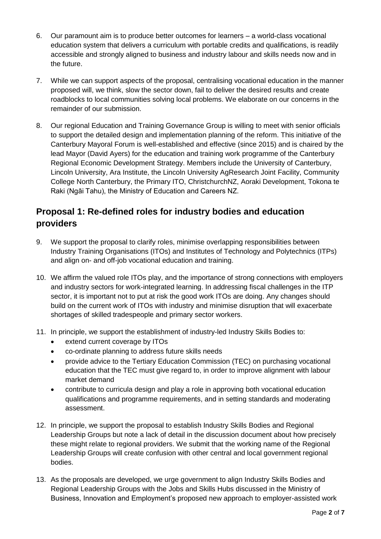- 6. Our paramount aim is to produce better outcomes for learners a world-class vocational education system that delivers a curriculum with portable credits and qualifications, is readily accessible and strongly aligned to business and industry labour and skills needs now and in the future.
- 7. While we can support aspects of the proposal, centralising vocational education in the manner proposed will, we think, slow the sector down, fail to deliver the desired results and create roadblocks to local communities solving local problems. We elaborate on our concerns in the remainder of our submission.
- 8. Our regional Education and Training Governance Group is willing to meet with senior officials to support the detailed design and implementation planning of the reform. This initiative of the Canterbury Mayoral Forum is well-established and effective (since 2015) and is chaired by the lead Mayor (David Ayers) for the education and training work programme of the Canterbury Regional Economic Development Strategy. Members include the University of Canterbury, Lincoln University, Ara Institute, the Lincoln University AgResearch Joint Facility, Community College North Canterbury, the Primary ITO, ChristchurchNZ, Aoraki Development, Tokona te Raki (Ngāi Tahu), the Ministry of Education and Careers NZ.

## **Proposal 1: Re-defined roles for industry bodies and education providers**

- 9. We support the proposal to clarify roles, minimise overlapping responsibilities between Industry Training Organisations (ITOs) and Institutes of Technology and Polytechnics (ITPs) and align on- and off-job vocational education and training.
- 10. We affirm the valued role ITOs play, and the importance of strong connections with employers and industry sectors for work-integrated learning. In addressing fiscal challenges in the ITP sector, it is important not to put at risk the good work ITOs are doing. Any changes should build on the current work of ITOs with industry and minimise disruption that will exacerbate shortages of skilled tradespeople and primary sector workers.
- 11. In principle, we support the establishment of industry-led Industry Skills Bodies to:
	- extend current coverage by ITOs
	- co-ordinate planning to address future skills needs
	- provide advice to the Tertiary Education Commission (TEC) on purchasing vocational education that the TEC must give regard to, in order to improve alignment with labour market demand
	- contribute to curricula design and play a role in approving both vocational education qualifications and programme requirements, and in setting standards and moderating assessment.
- 12. In principle, we support the proposal to establish Industry Skills Bodies and Regional Leadership Groups but note a lack of detail in the discussion document about how precisely these might relate to regional providers. We submit that the working name of the Regional Leadership Groups will create confusion with other central and local government regional bodies.
- 13. As the proposals are developed, we urge government to align Industry Skills Bodies and Regional Leadership Groups with the Jobs and Skills Hubs discussed in the Ministry of Business, Innovation and Employment's proposed new approach to employer-assisted work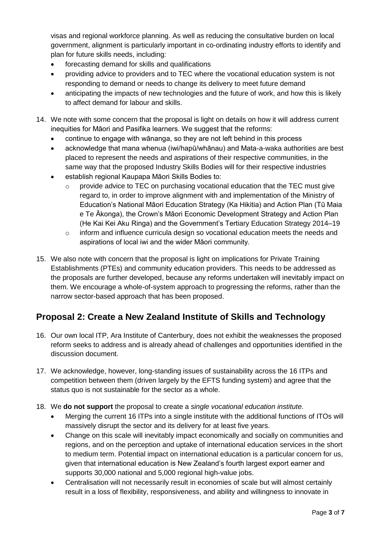visas and regional workforce planning. As well as reducing the consultative burden on local government, alignment is particularly important in co-ordinating industry efforts to identify and plan for future skills needs, including:

- forecasting demand for skills and qualifications
- providing advice to providers and to TEC where the vocational education system is not responding to demand or needs to change its delivery to meet future demand
- anticipating the impacts of new technologies and the future of work, and how this is likely to affect demand for labour and skills.
- 14. We note with some concern that the proposal is light on details on how it will address current inequities for Māori and Pasifika learners. We suggest that the reforms:
	- continue to engage with wānanga, so they are not left behind in this process
	- acknowledge that mana whenua (iwi/hapū/whānau) and Mata-a-waka authorities are best placed to represent the needs and aspirations of their respective communities, in the same way that the proposed Industry Skills Bodies will for their respective industries
	- establish regional Kaupapa Māori Skills Bodies to:
		- o provide advice to TEC on purchasing vocational education that the TEC must give regard to, in order to improve alignment with and implementation of the Ministry of Education's National Māori Education Strategy (Ka Hikitia) and Action Plan (Tū Maia e Te Ākonga), the Crown's Māori Economic Development Strategy and Action Plan (He Kai Kei Aku Ringa) and the Government's Tertiary Education Strategy 2014–19
		- o inform and influence curricula design so vocational education meets the needs and aspirations of local iwi and the wider Māori community.
- 15. We also note with concern that the proposal is light on implications for Private Training Establishments (PTEs) and community education providers. This needs to be addressed as the proposals are further developed, because any reforms undertaken will inevitably impact on them. We encourage a whole-of-system approach to progressing the reforms, rather than the narrow sector-based approach that has been proposed.

#### **Proposal 2: Create a New Zealand Institute of Skills and Technology**

- 16. Our own local ITP, Ara Institute of Canterbury, does not exhibit the weaknesses the proposed reform seeks to address and is already ahead of challenges and opportunities identified in the discussion document.
- 17. We acknowledge, however, long-standing issues of sustainability across the 16 ITPs and competition between them (driven largely by the EFTS funding system) and agree that the status quo is not sustainable for the sector as a whole.
- 18. We **do not support** the proposal to create a *single vocational education institute*.
	- Merging the current 16 ITPs into a single institute with the additional functions of ITOs will massively disrupt the sector and its delivery for at least five years.
	- Change on this scale will inevitably impact economically and socially on communities and regions, and on the perception and uptake of international education services in the short to medium term. Potential impact on international education is a particular concern for us, given that international education is New Zealand's fourth largest export earner and supports 30,000 national and 5,000 regional high-value jobs.
	- Centralisation will not necessarily result in economies of scale but will almost certainly result in a loss of flexibility, responsiveness, and ability and willingness to innovate in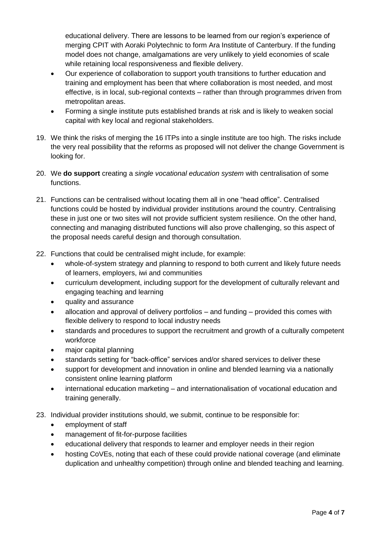educational delivery. There are lessons to be learned from our region's experience of merging CPIT with Aoraki Polytechnic to form Ara Institute of Canterbury. If the funding model does not change, amalgamations are very unlikely to yield economies of scale while retaining local responsiveness and flexible delivery.

- Our experience of collaboration to support youth transitions to further education and training and employment has been that where collaboration is most needed, and most effective, is in local, sub-regional contexts – rather than through programmes driven from metropolitan areas.
- Forming a single institute puts established brands at risk and is likely to weaken social capital with key local and regional stakeholders.
- 19. We think the risks of merging the 16 ITPs into a single institute are too high. The risks include the very real possibility that the reforms as proposed will not deliver the change Government is looking for.
- 20. We **do support** creating a *single vocational education system* with centralisation of some functions.
- 21. Functions can be centralised without locating them all in one "head office". Centralised functions could be hosted by individual provider institutions around the country. Centralising these in just one or two sites will not provide sufficient system resilience. On the other hand, connecting and managing distributed functions will also prove challenging, so this aspect of the proposal needs careful design and thorough consultation.
- 22. Functions that could be centralised might include, for example:
	- whole-of-system strategy and planning to respond to both current and likely future needs of learners, employers, iwi and communities
	- curriculum development, including support for the development of culturally relevant and engaging teaching and learning
	- quality and assurance
	- allocation and approval of delivery portfolios and funding provided this comes with flexible delivery to respond to local industry needs
	- standards and procedures to support the recruitment and growth of a culturally competent workforce
	- major capital planning
	- standards setting for "back-office" services and/or shared services to deliver these
	- support for development and innovation in online and blended learning via a nationally consistent online learning platform
	- international education marketing and internationalisation of vocational education and training generally.
- 23. Individual provider institutions should, we submit, continue to be responsible for:
	- employment of staff
	- management of fit-for-purpose facilities
	- educational delivery that responds to learner and employer needs in their region
	- hosting CoVEs, noting that each of these could provide national coverage (and eliminate duplication and unhealthy competition) through online and blended teaching and learning.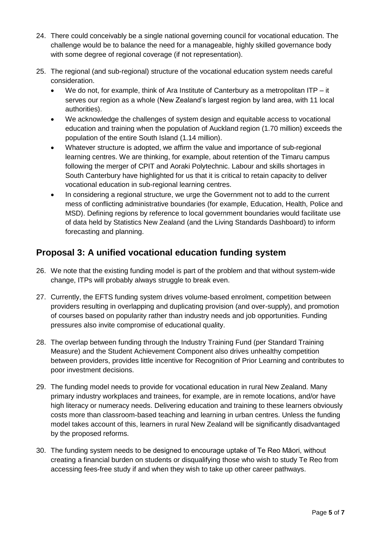- 24. There could conceivably be a single national governing council for vocational education. The challenge would be to balance the need for a manageable, highly skilled governance body with some degree of regional coverage (if not representation).
- 25. The regional (and sub-regional) structure of the vocational education system needs careful consideration.
	- We do not, for example, think of Ara Institute of Canterbury as a metropolitan ITP it serves our region as a whole (New Zealand's largest region by land area, with 11 local authorities).
	- We acknowledge the challenges of system design and equitable access to vocational education and training when the population of Auckland region (1.70 million) exceeds the population of the entire South Island (1.14 million).
	- Whatever structure is adopted, we affirm the value and importance of sub-regional learning centres. We are thinking, for example, about retention of the Timaru campus following the merger of CPIT and Aoraki Polytechnic. Labour and skills shortages in South Canterbury have highlighted for us that it is critical to retain capacity to deliver vocational education in sub-regional learning centres.
	- In considering a regional structure, we urge the Government not to add to the current mess of conflicting administrative boundaries (for example, Education, Health, Police and MSD). Defining regions by reference to local government boundaries would facilitate use of data held by Statistics New Zealand (and the Living Standards Dashboard) to inform forecasting and planning.

# **Proposal 3: A unified vocational education funding system**

- 26. We note that the existing funding model is part of the problem and that without system-wide change, ITPs will probably always struggle to break even.
- 27. Currently, the EFTS funding system drives volume-based enrolment, competition between providers resulting in overlapping and duplicating provision (and over-supply), and promotion of courses based on popularity rather than industry needs and job opportunities. Funding pressures also invite compromise of educational quality.
- 28. The overlap between funding through the Industry Training Fund (per Standard Training Measure) and the Student Achievement Component also drives unhealthy competition between providers, provides little incentive for Recognition of Prior Learning and contributes to poor investment decisions.
- 29. The funding model needs to provide for vocational education in rural New Zealand. Many primary industry workplaces and trainees, for example, are in remote locations, and/or have high literacy or numeracy needs. Delivering education and training to these learners obviously costs more than classroom-based teaching and learning in urban centres. Unless the funding model takes account of this, learners in rural New Zealand will be significantly disadvantaged by the proposed reforms.
- 30. The funding system needs to be designed to encourage uptake of Te Reo Māori, without creating a financial burden on students or disqualifying those who wish to study Te Reo from accessing fees-free study if and when they wish to take up other career pathways.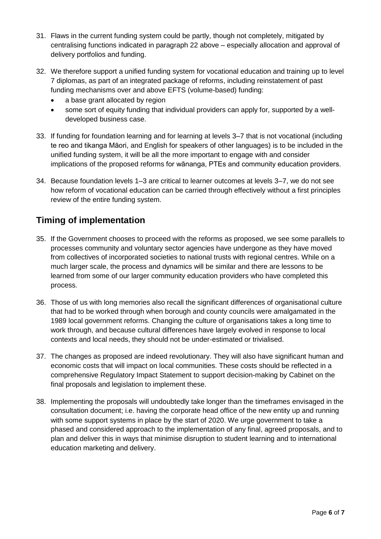- 31. Flaws in the current funding system could be partly, though not completely, mitigated by centralising functions indicated in paragraph 22 above – especially allocation and approval of delivery portfolios and funding.
- 32. We therefore support a unified funding system for vocational education and training up to level 7 diplomas, as part of an integrated package of reforms, including reinstatement of past funding mechanisms over and above EFTS (volume-based) funding:
	- a base grant allocated by region
	- some sort of equity funding that individual providers can apply for, supported by a welldeveloped business case.
- 33. If funding for foundation learning and for learning at levels 3–7 that is not vocational (including te reo and tikanga Māori, and English for speakers of other languages) is to be included in the unified funding system, it will be all the more important to engage with and consider implications of the proposed reforms for wānanga, PTEs and community education providers.
- 34. Because foundation levels 1–3 are critical to learner outcomes at levels 3–7, we do not see how reform of vocational education can be carried through effectively without a first principles review of the entire funding system.

# **Timing of implementation**

- 35. If the Government chooses to proceed with the reforms as proposed, we see some parallels to processes community and voluntary sector agencies have undergone as they have moved from collectives of incorporated societies to national trusts with regional centres. While on a much larger scale, the process and dynamics will be similar and there are lessons to be learned from some of our larger community education providers who have completed this process.
- 36. Those of us with long memories also recall the significant differences of organisational culture that had to be worked through when borough and county councils were amalgamated in the 1989 local government reforms. Changing the culture of organisations takes a long time to work through, and because cultural differences have largely evolved in response to local contexts and local needs, they should not be under-estimated or trivialised.
- 37. The changes as proposed are indeed revolutionary. They will also have significant human and economic costs that will impact on local communities. These costs should be reflected in a comprehensive Regulatory Impact Statement to support decision-making by Cabinet on the final proposals and legislation to implement these.
- 38. Implementing the proposals will undoubtedly take longer than the timeframes envisaged in the consultation document; i.e. having the corporate head office of the new entity up and running with some support systems in place by the start of 2020. We urge government to take a phased and considered approach to the implementation of any final, agreed proposals, and to plan and deliver this in ways that minimise disruption to student learning and to international education marketing and delivery.